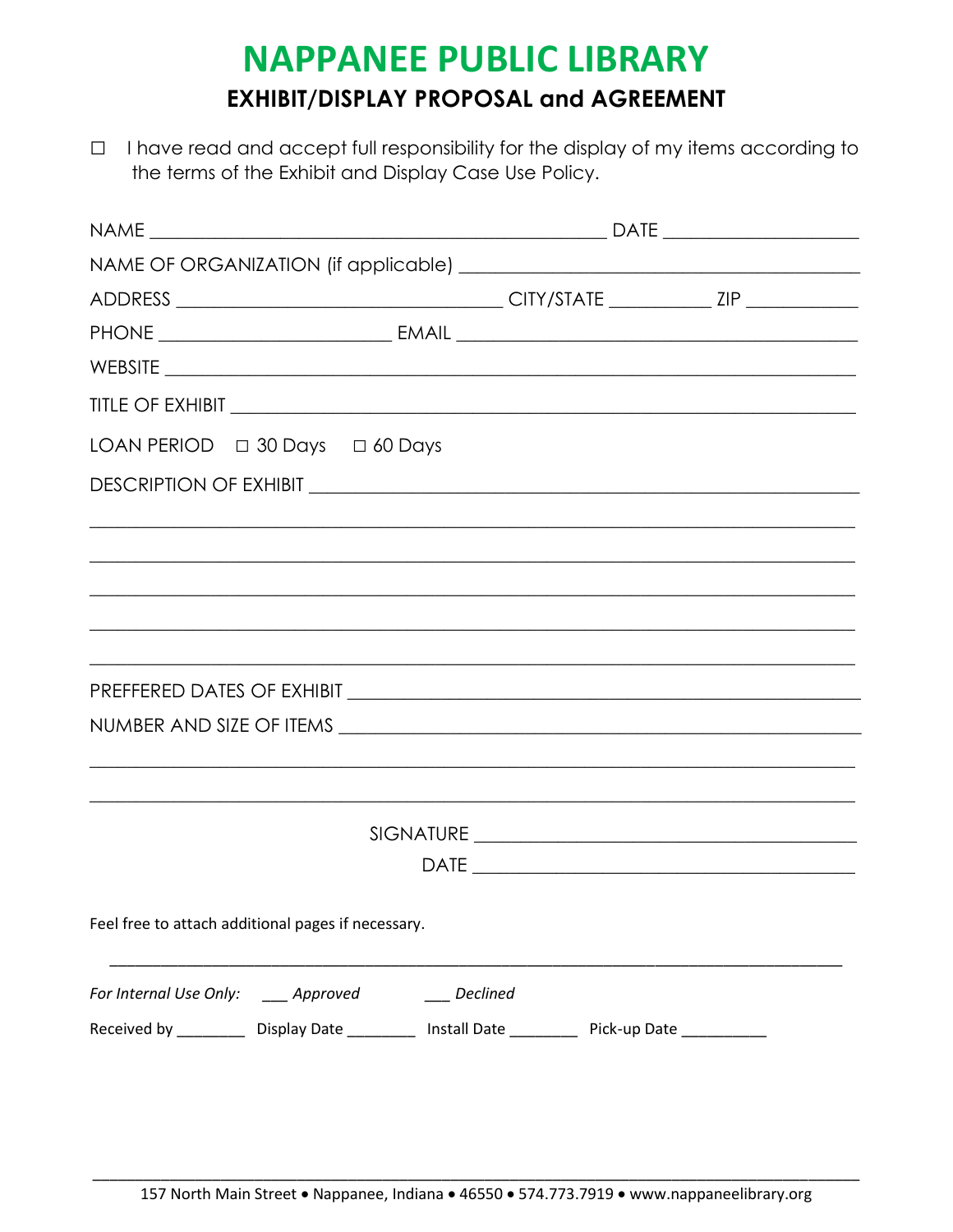## **NAPPANEE PUBLIC LIBRARY EXHIBIT/DISPLAY PROPOSAL and AGREEMENT**

□ I have read and accept full responsibility for the display of my items according to the terms of the Exhibit and Display Case Use Policy.

| Feel free to attach additional pages if necessary.                                                   |          |  |  |
|------------------------------------------------------------------------------------------------------|----------|--|--|
| For Internal Use Only: _____ Approved                                                                | Declined |  |  |
| Received by ____________ Display Date ____________ Install Date ____________ Pick-up Date __________ |          |  |  |